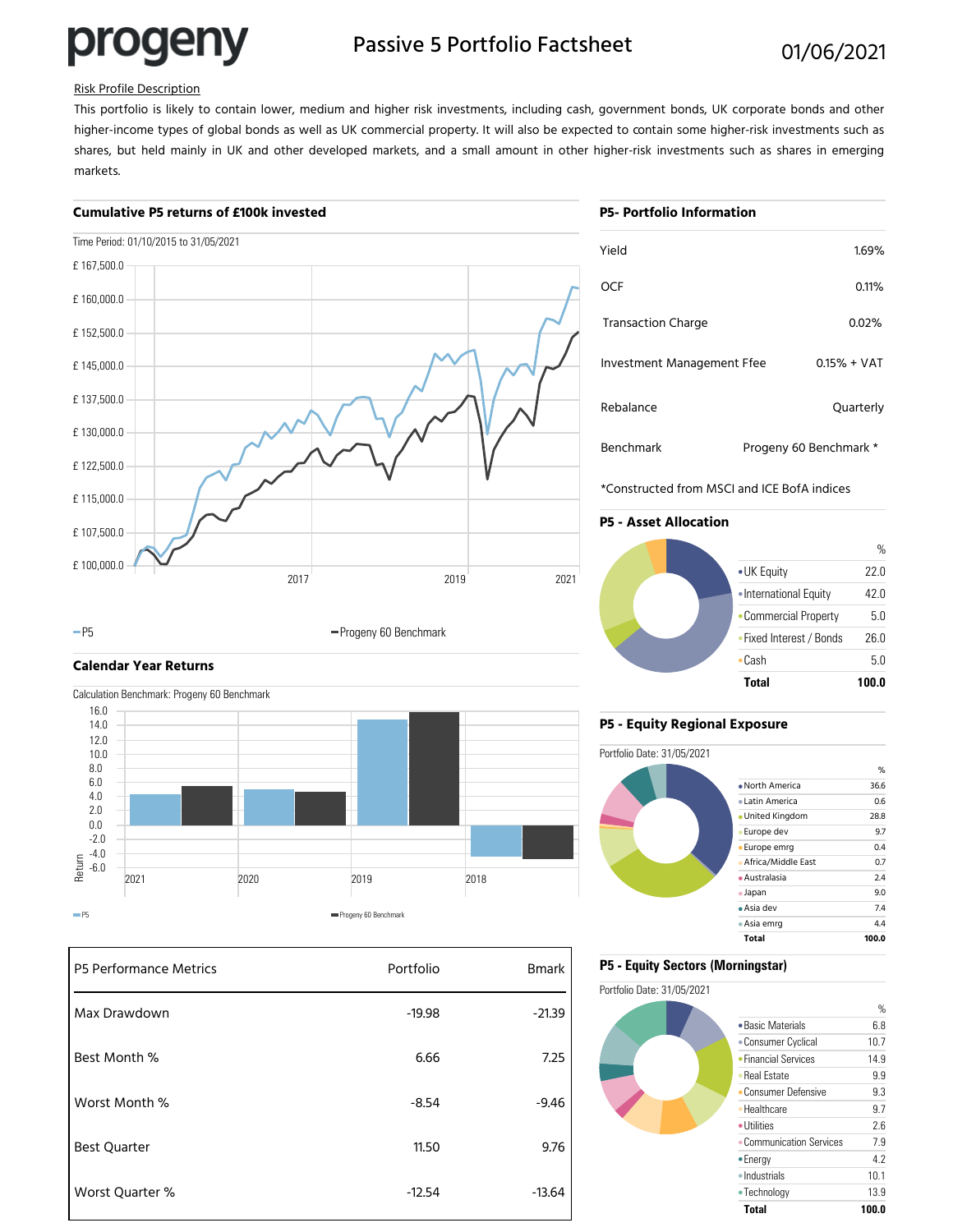# progeny

## Passive 5 Portfolio Factsheet 01/06/2021

## Risk Profile Description

This portfolio is likely to contain lower, medium and higher risk investments, including cash, government bonds, UK corporate bonds and other higher-income types of global bonds as well as UK commercial property. It will also be expected to contain some higher-risk investments such as shares, but held mainly in UK and other developed markets, and a small amount in other higher-risk investments such as shares in emerging markets.

## **Cumulative P5 returns of £100k invested**



# Rebalance Quarterly Investment Management Ffee 0.15% + VAT Transaction Charge **1.2.12 September 1.08 September 2.08 September 2.08 September 2.08 September 2.08 September 2.08 September 2.08 September 2.08 September 2.08 September 2.08 September 2.08 September 2.08 September 2.08** OCF 0.11% Benchmark Progeny 60 Benchmark \* **P5- Portfolio Information** Yield 1.69%

\*Constructed from MSCI and ICE BofA indices

## **P5 - Asset Allocation**



## **Calendar Year Returns**



-P5 **Progeny 60 Benchmark** 

| P5 Performance Metrics | Portfolio | <b>Bmark</b> |
|------------------------|-----------|--------------|
| Max Drawdown           | $-19.98$  | $-21.39$     |
| Best Month %           | 6.66      | 7.25         |
| Worst Month %          | $-8.54$   | $-9.46$      |
| <b>Best Quarter</b>    | 11.50     | 9.76         |
| Worst Quarter %        | $-12.54$  | $-13.64$     |

## **P5 - Equity Regional Exposure**



## **P5 - Equity Sectors (Morningstar)**